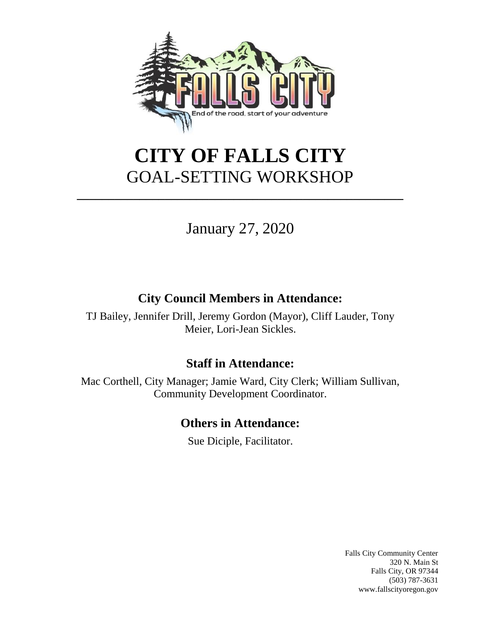

# **CITY OF FALLS CITY** GOAL-SETTING WORKSHOP

**\_\_\_\_\_\_\_\_\_\_\_\_\_\_\_\_\_\_\_\_\_\_\_\_\_\_\_\_\_\_\_\_\_\_\_\_\_\_\_\_\_\_\_\_\_\_\_\_\_\_\_\_**

## January 27, 2020

### **City Council Members in Attendance:**

TJ Bailey, Jennifer Drill, Jeremy Gordon (Mayor), Cliff Lauder, Tony Meier, Lori-Jean Sickles.

#### **Staff in Attendance:**

Mac Corthell, City Manager; Jamie Ward, City Clerk; William Sullivan, Community Development Coordinator.

### **Others in Attendance:**

Sue Diciple, Facilitator.

Falls City Community Center 320 N. Main St Falls City, OR 97344 (503) 787-3631 www.fallscityoregon.gov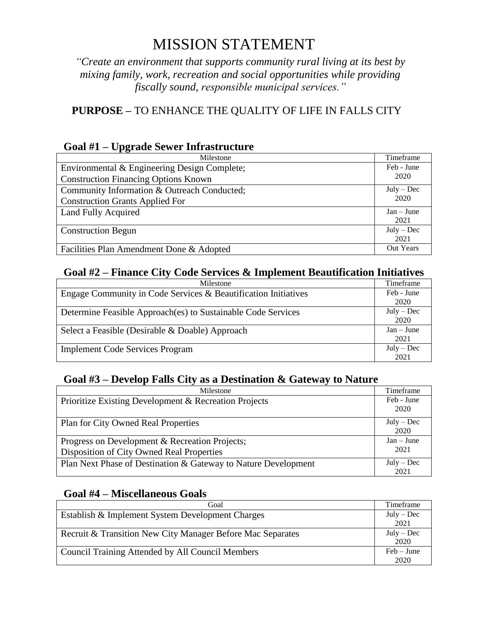## MISSION STATEMENT

*"Create an environment that supports community rural living at its best by mixing family, work, recreation and social opportunities while providing fiscally sound, responsible municipal services."*

#### **PURPOSE –** TO ENHANCE THE QUALITY OF LIFE IN FALLS CITY

#### **Goal #1 – Upgrade Sewer Infrastructure**

| $\sim$ $\sim$<br>e parade ben'er minimon acture |              |
|-------------------------------------------------|--------------|
| Milestone                                       | Timeframe    |
| Environmental & Engineering Design Complete;    | Feb - June   |
| <b>Construction Financing Options Known</b>     | 2020         |
| Community Information & Outreach Conducted;     | $July - Dec$ |
| <b>Construction Grants Applied For</b>          | 2020         |
| Land Fully Acquired                             | $Jan - June$ |
|                                                 | 2021         |
| <b>Construction Begun</b>                       | $July - Dec$ |
|                                                 | 2021         |
| Facilities Plan Amendment Done & Adopted        | Out Years    |

#### **Goal #2 – Finance City Code Services & Implement Beautification Initiatives**

| Milestone                                                      | Timeframe            |
|----------------------------------------------------------------|----------------------|
| Engage Community in Code Services & Beautification Initiatives | Feb - June           |
|                                                                | 2020                 |
| Determine Feasible Approach(es) to Sustainable Code Services   | $July - Dec$<br>2020 |
|                                                                |                      |
| Select a Feasible (Desirable & Doable) Approach                | $Jan - June$         |
|                                                                | 2021                 |
| <b>Implement Code Services Program</b>                         | $July - Dec$         |
|                                                                | 2021                 |

#### **Goal #3 – Develop Falls City as a Destination & Gateway to Nature**

| Milestone                                                                                   | Timeframe            |
|---------------------------------------------------------------------------------------------|----------------------|
| Prioritize Existing Development & Recreation Projects                                       | Feb - June<br>2020   |
| <b>Plan for City Owned Real Properties</b>                                                  | $July - Dec$<br>2020 |
| Progress on Development & Recreation Projects;<br>Disposition of City Owned Real Properties | $Jan - June$<br>2021 |
| Plan Next Phase of Destination & Gateway to Nature Development                              | $July - Dec$<br>2021 |

#### **Goal #4 – Miscellaneous Goals**

| Goal                                                       | Timeframe    |
|------------------------------------------------------------|--------------|
| Establish & Implement System Development Charges           | $July - Dec$ |
|                                                            | 2021         |
| Recruit & Transition New City Manager Before Mac Separates | $July - Dec$ |
|                                                            | 2020         |
| Council Training Attended by All Council Members           | $Feb - June$ |
|                                                            | 2020         |